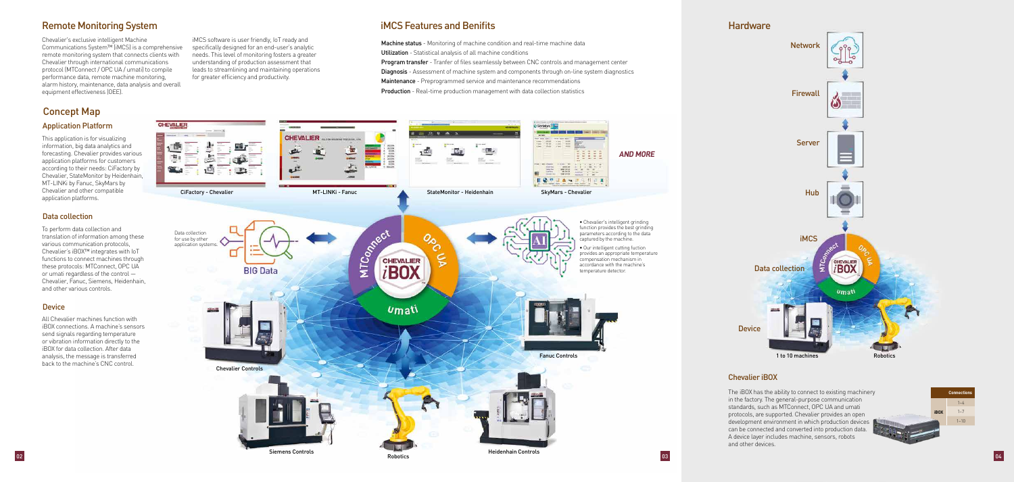# Remote Monitoring System

Chevalier's exclusive intelligent Machine Communications System™ (iMCS) is a comprehensive remote monitoring system that connects clients with Chevalier through international communications protocol (MTConnect / OPC UA / umati) to compile performance data, remote machine monitoring, alarm history, maintenance, data analysis and overall equipment effectiveness (OEE).

This application is for visualizing information, big data analytics and forecasting. Chevalier provides various application platforms for customers according to their needs: CiFactory by Chevalier, StateMonitor by Heidenhain, MT-LINKi by Fanuc, SkyMars by Chevalier and other compatible application platforms.

All Chevalier machines function with iBOX connections. A machine's sensors send signals regarding temperature or vibration information directly to the iBOX for data collection. After data analysis, the message is transferred back to the machine's CNC control.

To perform data collection and translation of information among these various communication protocols, Chevalier's iBOX™ integrates with IoT functions to connect machines through these protocols: MTConnect, OPC UA or umati regardless of the control — Chevalier, Fanuc, Siemens, Heidenhain, and other various controls.

### **Device**

### Application Platform

### Data collection

# Concept Map

iMCS software is user friendly, IoT ready and specifically designed for an end-user's analytic needs. This level of monitoring fosters a greater understanding of production assessment that leads to streamlining and maintaining operations for greater efficiency and productivity.

## iMCS Features and Benifits **Hardware** Hardware Hardware Hardware

Machine status - Monitoring of machine condition and real-time machine data Utilization - Statistical analysis of all machine conditions Program transfer - Tranfer of files seamlessly between CNC controls and management center Diagnosis - Assessment of machine system and components through on-line system diagnostics Maintenance - Preprogrammed service and maintenance recommendations **Production** - Real-time production management with data collection statistics

Robotics

Robotics 03<br>Robotics 03

- 
- 
- 
- 
- 
- 





The iBOX has the ability to connect to existing machinery in the factory. The general-purpose communication standards, such as MTConnect, OPC UA and umati protocols, are supported. Chevalier provides an open development environment in which production devices can be connected and converted into production data. A device layer includes machine, sensors, robots and other devices.

#### Chevalier iBOX